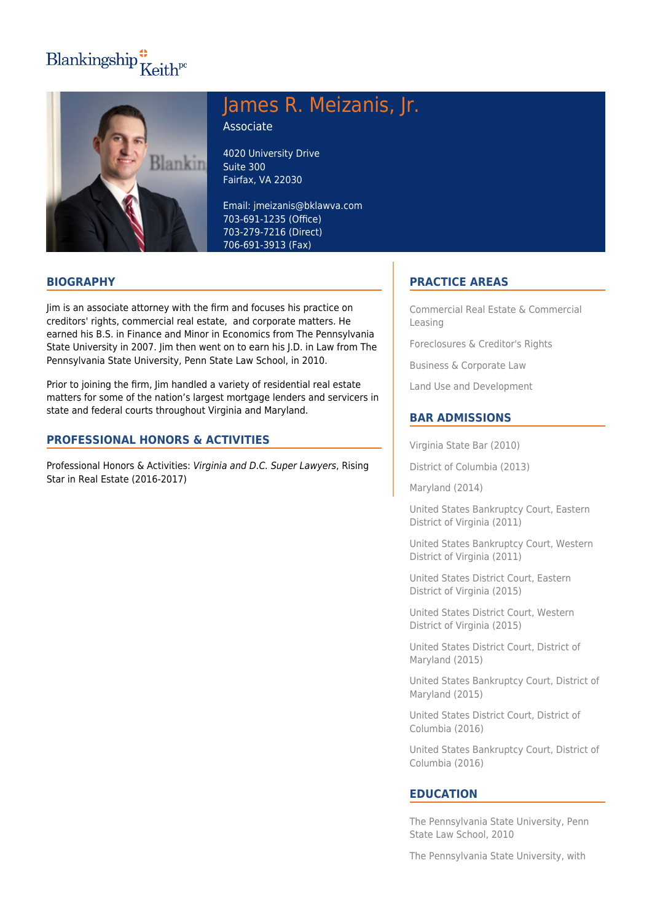# Blankingship $\frac{4}{\pi}$ Keith<sup>pc</sup>



## James R. Meizanis, Jr.

Associate

4020 University Drive Suite 300 Fairfax, VA 22030

Email: jmeizanis@bklawva.com 703-691-1235 (Office) 703-279-7216 (Direct) 706-691-3913 (Fax)

### **BIOGRAPHY**

Jim is an associate attorney with the firm and focuses his practice on creditors' rights, commercial real estate, and corporate matters. He earned his B.S. in Finance and Minor in Economics from The Pennsylvania State University in 2007. Jim then went on to earn his J.D. in Law from The Pennsylvania State University, Penn State Law School, in 2010.

Prior to joining the firm, Jim handled a variety of residential real estate matters for some of the nation's largest mortgage lenders and servicers in state and federal courts throughout Virginia and Maryland.

#### **PROFESSIONAL HONORS & ACTIVITIES**

Professional Honors & Activities: Virginia and D.C. Super Lawyers, Rising Star in Real Estate (2016-2017)

#### **PRACTICE AREAS**

Commercial Real Estate & Commercial Leasing

Foreclosures & Creditor's Rights

Business & Corporate Law

Land Use and Development

#### **BAR ADMISSIONS**

Virginia State Bar (2010)

District of Columbia (2013)

Maryland (2014)

United States Bankruptcy Court, Eastern District of Virginia (2011)

United States Bankruptcy Court, Western District of Virginia (2011)

United States District Court, Eastern District of Virginia (2015)

United States District Court, Western District of Virginia (2015)

United States District Court, District of Maryland (2015)

United States Bankruptcy Court, District of Maryland (2015)

United States District Court, District of Columbia (2016)

United States Bankruptcy Court, District of Columbia (2016)

#### **EDUCATION**

The Pennsylvania State University, Penn State Law School, 2010

The Pennsylvania State University, with